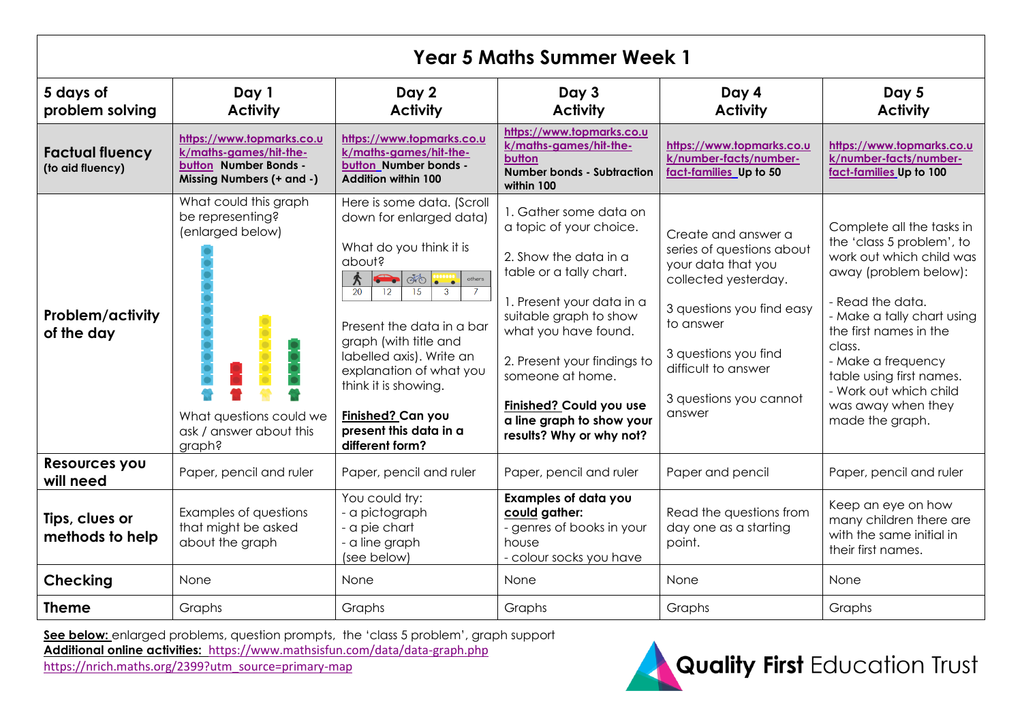| <b>Year 5 Maths Summer Week 1</b>          |                                                                                                                               |                                                                                                                                                                                                                                                                                                                                                                                                                        |                                                                                                                                                                                                                                                                                                                             |                                                                                                                                                                                                                             |                                                                                                                                                                                                                                                                                                                        |  |  |  |
|--------------------------------------------|-------------------------------------------------------------------------------------------------------------------------------|------------------------------------------------------------------------------------------------------------------------------------------------------------------------------------------------------------------------------------------------------------------------------------------------------------------------------------------------------------------------------------------------------------------------|-----------------------------------------------------------------------------------------------------------------------------------------------------------------------------------------------------------------------------------------------------------------------------------------------------------------------------|-----------------------------------------------------------------------------------------------------------------------------------------------------------------------------------------------------------------------------|------------------------------------------------------------------------------------------------------------------------------------------------------------------------------------------------------------------------------------------------------------------------------------------------------------------------|--|--|--|
| 5 days of<br>problem solving               | Day 1<br><b>Activity</b>                                                                                                      | Day 2<br><b>Activity</b>                                                                                                                                                                                                                                                                                                                                                                                               | Day 3<br><b>Activity</b>                                                                                                                                                                                                                                                                                                    | Day 4<br><b>Activity</b>                                                                                                                                                                                                    | Day 5<br><b>Activity</b>                                                                                                                                                                                                                                                                                               |  |  |  |
| <b>Factual fluency</b><br>(to aid fluency) | https://www.topmarks.co.u<br>k/maths-games/hit-the-<br>button Number Bonds -<br>Missing Numbers (+ and -)                     | https://www.topmarks.co.u<br>k/maths-games/hit-the-<br>button Number bonds -<br><b>Addition within 100</b>                                                                                                                                                                                                                                                                                                             | https://www.topmarks.co.u<br>k/maths-games/hit-the-<br>button<br><b>Number bonds - Subtraction</b><br>within 100                                                                                                                                                                                                            | https://www.topmarks.co.u<br>k/number-facts/number-<br>fact-families Up to 50                                                                                                                                               | https://www.topmarks.co.u<br>k/number-facts/number-<br>fact-families Up to 100                                                                                                                                                                                                                                         |  |  |  |
| <b>Problem/activity</b><br>of the day      | What could this graph<br>be representing?<br>(enlarged below)<br>What questions could we<br>ask / answer about this<br>graph? | Here is some data. (Scroll<br>down for enlarged data)<br>What do you think it is<br>about?<br>$\sim$ 00<br>$\begin{array}{c} \cdots \cdots \end{array}$<br>others<br>$\hat{\mathcal{K}}$<br>20<br>12<br>15<br>3<br>Present the data in a bar<br>graph (with title and<br>labelled axis). Write an<br>explanation of what you<br>think it is showing.<br>Finished? Can you<br>present this data in a<br>different form? | 1. Gather some data on<br>a topic of your choice.<br>2. Show the data in a<br>table or a tally chart.<br>1. Present your data in a<br>suitable graph to show<br>what you have found.<br>2. Present your findings to<br>someone at home.<br>Finished? Could you use<br>a line graph to show your<br>results? Why or why not? | Create and answer a<br>series of questions about<br>your data that you<br>collected yesterday.<br>3 questions you find easy<br>to answer<br>3 questions you find<br>difficult to answer<br>3 questions you cannot<br>answer | Complete all the tasks in<br>the 'class 5 problem', to<br>work out which child was<br>away (problem below):<br>- Read the data.<br>- Make a tally chart using<br>the first names in the<br>class.<br>- Make a frequency<br>table using first names.<br>- Work out which child<br>was away when they<br>made the graph. |  |  |  |
| Resources you<br>will need                 | Paper, pencil and ruler                                                                                                       | Paper, pencil and ruler                                                                                                                                                                                                                                                                                                                                                                                                | Paper, pencil and ruler                                                                                                                                                                                                                                                                                                     | Paper and pencil                                                                                                                                                                                                            | Paper, pencil and ruler                                                                                                                                                                                                                                                                                                |  |  |  |
| Tips, clues or<br>methods to help          | Examples of questions<br>that might be asked<br>about the graph                                                               | You could try:<br>- a pictograph<br>- a pie chart<br>- a line graph<br>(see below)                                                                                                                                                                                                                                                                                                                                     | <b>Examples of data you</b><br>could gather:<br>- genres of books in your<br>house<br>- colour socks you have                                                                                                                                                                                                               | Read the questions from<br>day one as a starting<br>point.                                                                                                                                                                  | Keep an eye on how<br>many children there are<br>with the same initial in<br>their first names.                                                                                                                                                                                                                        |  |  |  |
| <b>Checking</b>                            | <b>None</b>                                                                                                                   | <b>None</b>                                                                                                                                                                                                                                                                                                                                                                                                            | None                                                                                                                                                                                                                                                                                                                        | None                                                                                                                                                                                                                        | None                                                                                                                                                                                                                                                                                                                   |  |  |  |
| <b>Theme</b>                               | Graphs                                                                                                                        | Graphs                                                                                                                                                                                                                                                                                                                                                                                                                 | Graphs                                                                                                                                                                                                                                                                                                                      | Graphs                                                                                                                                                                                                                      | Graphs                                                                                                                                                                                                                                                                                                                 |  |  |  |

**See below:** enlarged problems, question prompts, the 'class 5 problem', graph support **Additional online activities:** <https://www.mathsisfun.com/data/data-graph.php> [https://nrich.maths.org/2399?utm\\_source=primary-map](https://nrich.maths.org/2399?utm_source=primary-map)

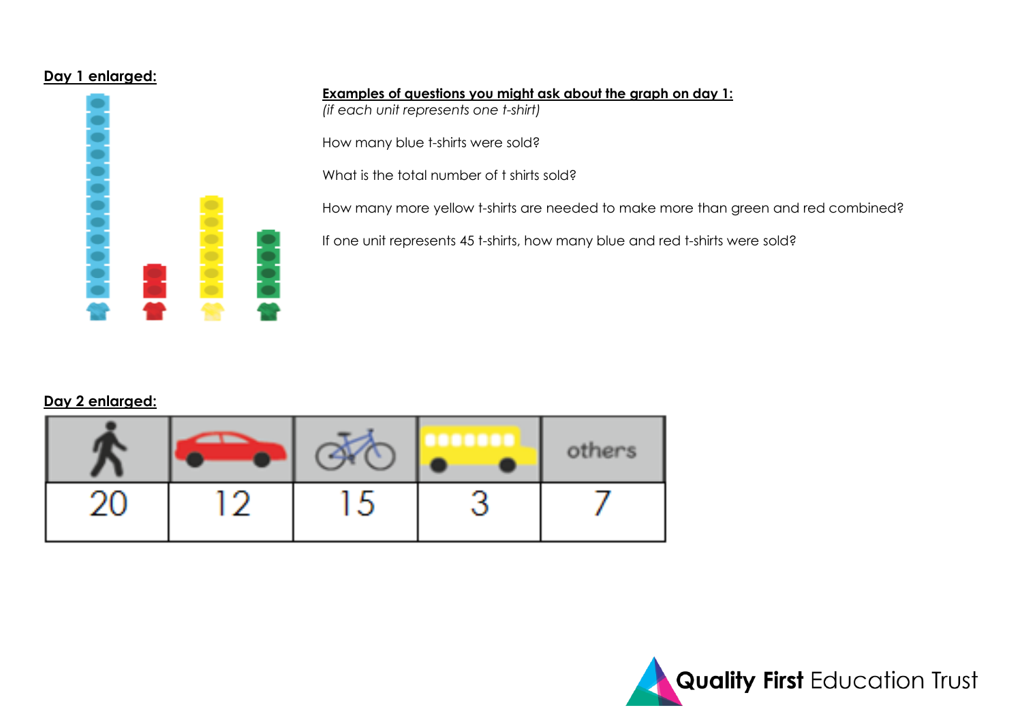## **Day 1 enlarged:**



**Examples of questions you might ask about the graph on day 1:**

*(if each unit represents one t-shirt)*

How many blue t-shirts were sold?

What is the total number of t shirts sold?

How many more yellow t-shirts are needed to make more than green and red combined?

If one unit represents 45 t-shirts, how many blue and red t-shirts were sold?

## **Day 2 enlarged:**

|          |               |            | hers<br>o |
|----------|---------------|------------|-----------|
| n.<br>ΔU | <b>ALC: Y</b> | г.<br>ان ا |           |

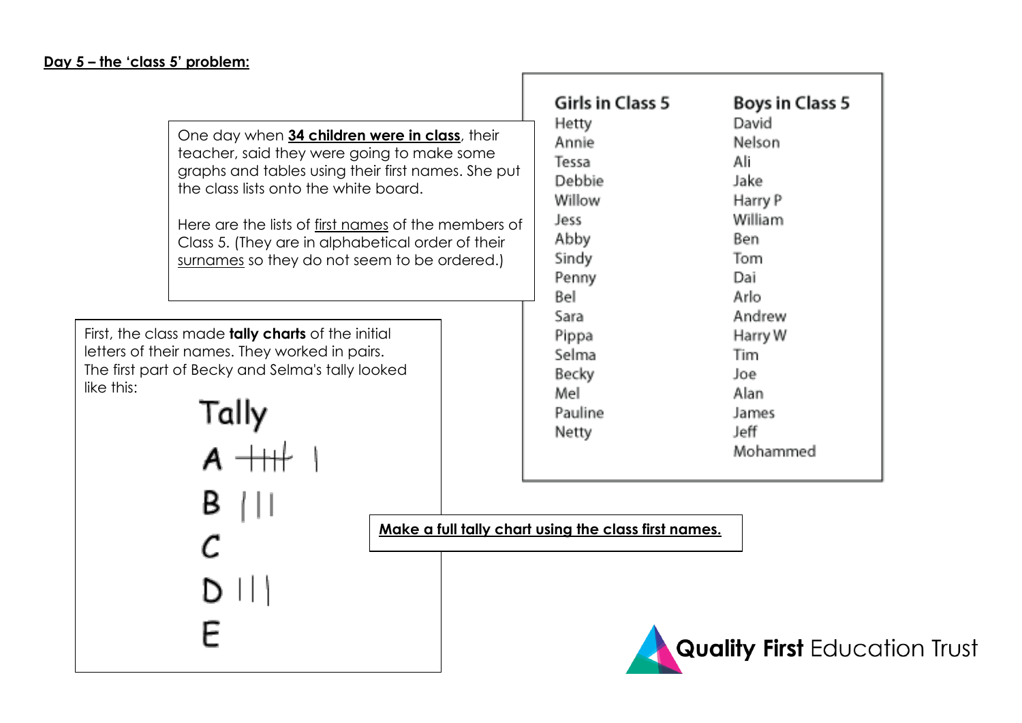$\mathcal{C}$ 

E

 $D$   $||$ 

| One day when 34 children were in class, their<br>teacher, said they were going to make some<br>graphs and tables using their first names. She put<br>the class lists onto the white board.<br>Here are the lists of first names of the members of<br>Class 5. (They are in alphabetical order of their<br>surnames so they do not seem to be ordered.) | Girls in Class 5<br><b>Hetty</b><br>Annie<br>Tessa<br>Debbie<br>Willow<br>Jess<br>Abby<br>Sindy<br>Penny<br>Bel | Boys in Class 5<br>David<br>Nelson<br>Ali<br>Jake.<br>Harry P<br>William<br>Ben.<br>Tom.<br>Dai<br>Arlo. |
|--------------------------------------------------------------------------------------------------------------------------------------------------------------------------------------------------------------------------------------------------------------------------------------------------------------------------------------------------------|-----------------------------------------------------------------------------------------------------------------|----------------------------------------------------------------------------------------------------------|
| First, the class made <b>tally charts</b> of the initial<br>letters of their names. They worked in pairs.<br>The first part of Becky and Selma's tally looked<br>like this:<br>Tally                                                                                                                                                                   | Sara<br><b>Pippa</b><br>Selma<br>Becky<br>Mel<br>Pauline<br><b>Netty</b>                                        | Andrew<br>Harry W<br>Tim<br>Joe.<br>Alan.<br><b>James</b><br>Jeff i<br>Mohammed                          |

**Make a full tally chart using the class first names.**

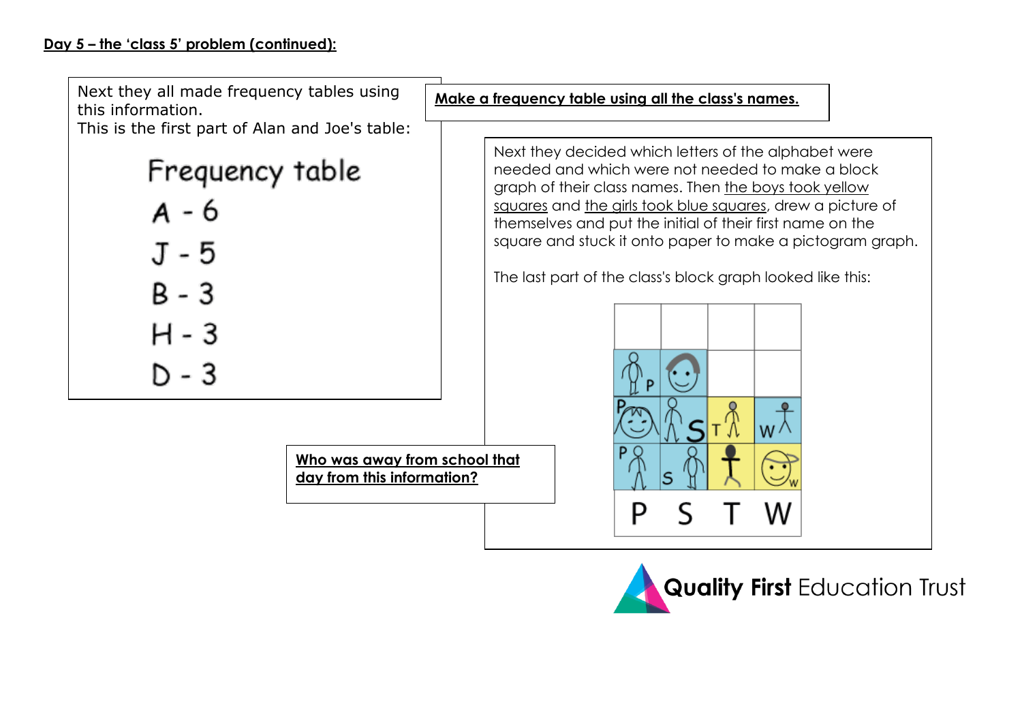Next they all made frequency tables using this information.

This is the first part of Alan and Joe's table:

Frequency table

**Who was away from school that** 

**day from this information?**



- $B 3$
- H 3
- $D 3$

**Make a frequency table using all the class's names.**

Next they decided which letters of the alphabet were needed and which were not needed to make a block graph of their class names. Then the boys took yellow squares and the girls took blue squares, drew a picture of themselves and put the initial of their first name on the square and stuck it onto paper to make a pictogram graph.

The last part of the class's block graph looked like this: